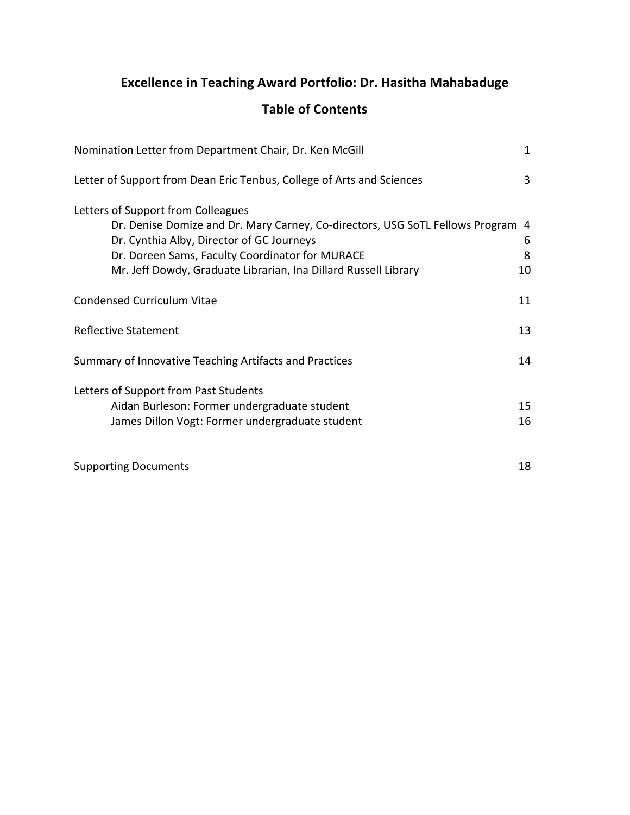# **Excellence in Teaching Award Portfolio: Dr. Hasitha Mahabaduge**

# **Table of Contents**

| Nomination Letter from Department Chair, Dr. Ken McGill                                                                                                                                                                                                                                  | 1            |
|------------------------------------------------------------------------------------------------------------------------------------------------------------------------------------------------------------------------------------------------------------------------------------------|--------------|
| Letter of Support from Dean Eric Tenbus, College of Arts and Sciences                                                                                                                                                                                                                    | 3            |
| Letters of Support from Colleagues<br>Dr. Denise Domize and Dr. Mary Carney, Co-directors, USG SoTL Fellows Program 4<br>Dr. Cynthia Alby, Director of GC Journeys<br>Dr. Doreen Sams, Faculty Coordinator for MURACE<br>Mr. Jeff Dowdy, Graduate Librarian, Ina Dillard Russell Library | 6<br>8<br>10 |
| <b>Condensed Curriculum Vitae</b>                                                                                                                                                                                                                                                        | 11           |
| <b>Reflective Statement</b>                                                                                                                                                                                                                                                              | 13           |
| Summary of Innovative Teaching Artifacts and Practices                                                                                                                                                                                                                                   | 14           |
| Letters of Support from Past Students<br>Aidan Burleson: Former undergraduate student<br>James Dillon Vogt: Former undergraduate student                                                                                                                                                 | 15<br>16     |
| <b>Supporting Documents</b>                                                                                                                                                                                                                                                              | 18           |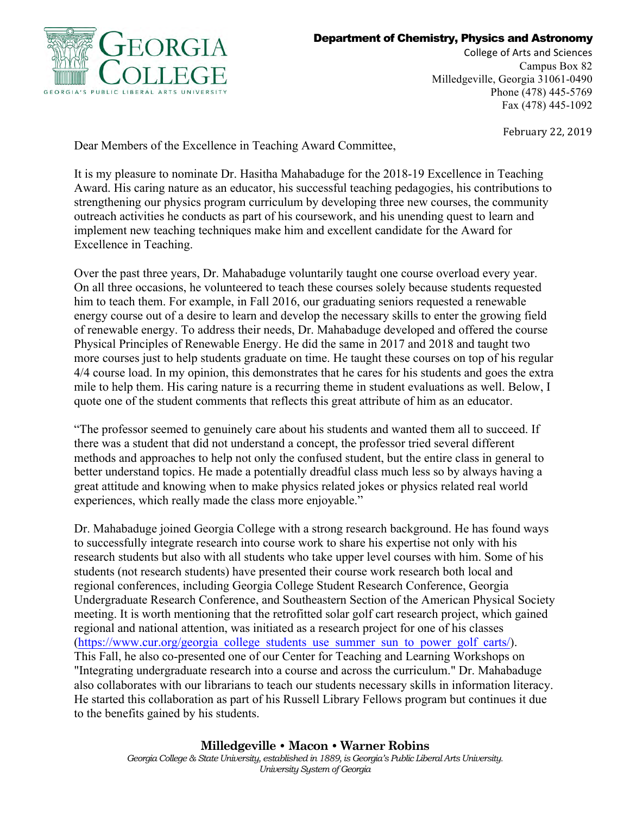

#### Department of Chemistry, Physics and Astronomy

College of Arts and Sciences Campus Box 82 Milledgeville, Georgia 31061-0490 Phone (478) 445-5769 Fax (478) 445-1092

February 22, 2019

Dear Members of the Excellence in Teaching Award Committee,

It is my pleasure to nominate Dr. Hasitha Mahabaduge for the 2018-19 Excellence in Teaching Award. His caring nature as an educator, his successful teaching pedagogies, his contributions to strengthening our physics program curriculum by developing three new courses, the community outreach activities he conducts as part of his coursework, and his unending quest to learn and implement new teaching techniques make him and excellent candidate for the Award for Excellence in Teaching.

Over the past three years, Dr. Mahabaduge voluntarily taught one course overload every year. On all three occasions, he volunteered to teach these courses solely because students requested him to teach them. For example, in Fall 2016, our graduating seniors requested a renewable energy course out of a desire to learn and develop the necessary skills to enter the growing field of renewable energy. To address their needs, Dr. Mahabaduge developed and offered the course Physical Principles of Renewable Energy. He did the same in 2017 and 2018 and taught two more courses just to help students graduate on time. He taught these courses on top of his regular 4/4 course load. In my opinion, this demonstrates that he cares for his students and goes the extra mile to help them. His caring nature is a recurring theme in student evaluations as well. Below, I quote one of the student comments that reflects this great attribute of him as an educator.

"The professor seemed to genuinely care about his students and wanted them all to succeed. If there was a student that did not understand a concept, the professor tried several different methods and approaches to help not only the confused student, but the entire class in general to better understand topics. He made a potentially dreadful class much less so by always having a great attitude and knowing when to make physics related jokes or physics related real world experiences, which really made the class more enjoyable."

Dr. Mahabaduge joined Georgia College with a strong research background. He has found ways to successfully integrate research into course work to share his expertise not only with his research students but also with all students who take upper level courses with him. Some of his students (not research students) have presented their course work research both local and regional conferences, including Georgia College Student Research Conference, Georgia Undergraduate Research Conference, and Southeastern Section of the American Physical Society meeting. It is worth mentioning that the retrofitted solar golf cart research project, which gained regional and national attention, was initiated as a research project for one of his classes (https://www.cur.org/georgia\_college\_students\_use\_summer\_sun\_to\_power\_golf\_carts/). This Fall, he also co-presented one of our Center for Teaching and Learning Workshops on "Integrating undergraduate research into a course and across the curriculum." Dr. Mahabaduge also collaborates with our librarians to teach our students necessary skills in information literacy. He started this collaboration as part of his Russell Library Fellows program but continues it due to the benefits gained by his students.

#### **Milledgeville • Macon • Warner Robins**

*Georgia College & State University, established in 1889, is Georgia's Public Liberal Arts University. University System of Georgia*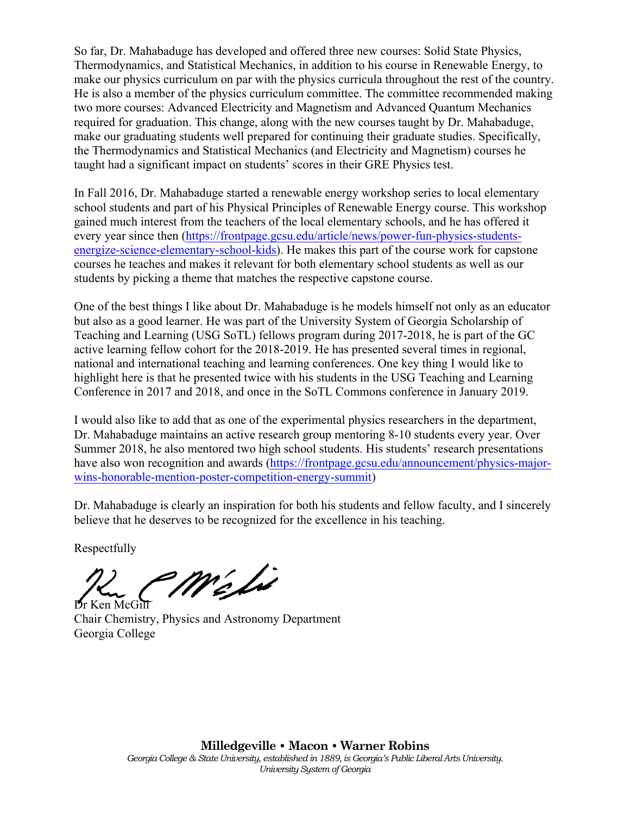So far, Dr. Mahabaduge has developed and offered three new courses: Solid State Physics, Thermodynamics, and Statistical Mechanics, in addition to his course in Renewable Energy, to make our physics curriculum on par with the physics curricula throughout the rest of the country. He is also a member of the physics curriculum committee. The committee recommended making two more courses: Advanced Electricity and Magnetism and Advanced Quantum Mechanics required for graduation. This change, along with the new courses taught by Dr. Mahabaduge, make our graduating students well prepared for continuing their graduate studies. Specifically, the Thermodynamics and Statistical Mechanics (and Electricity and Magnetism) courses he taught had a significant impact on students' scores in their GRE Physics test.

In Fall 2016, Dr. Mahabaduge started a renewable energy workshop series to local elementary school students and part of his Physical Principles of Renewable Energy course. This workshop gained much interest from the teachers of the local elementary schools, and he has offered it every year since then (https://frontpage.gcsu.edu/article/news/power-fun-physics-studentsenergize-science-elementary-school-kids). He makes this part of the course work for capstone courses he teaches and makes it relevant for both elementary school students as well as our students by picking a theme that matches the respective capstone course.

One of the best things I like about Dr. Mahabaduge is he models himself not only as an educator but also as a good learner. He was part of the University System of Georgia Scholarship of Teaching and Learning (USG SoTL) fellows program during 2017-2018, he is part of the GC active learning fellow cohort for the 2018-2019. He has presented several times in regional, national and international teaching and learning conferences. One key thing I would like to highlight here is that he presented twice with his students in the USG Teaching and Learning Conference in 2017 and 2018, and once in the SoTL Commons conference in January 2019.

I would also like to add that as one of the experimental physics researchers in the department, Dr. Mahabaduge maintains an active research group mentoring 8-10 students every year. Over Summer 2018, he also mentored two high school students. His students' research presentations have also won recognition and awards (https://frontpage.gcsu.edu/announcement/physics-majorwins-honorable-mention-poster-competition-energy-summit)

Dr. Mahabaduge is clearly an inspiration for both his students and fellow faculty, and I sincerely believe that he deserves to be recognized for the excellence in his teaching.

Respectfully

méli

Dr Ken McGill Chair Chemistry, Physics and Astronomy Department Georgia College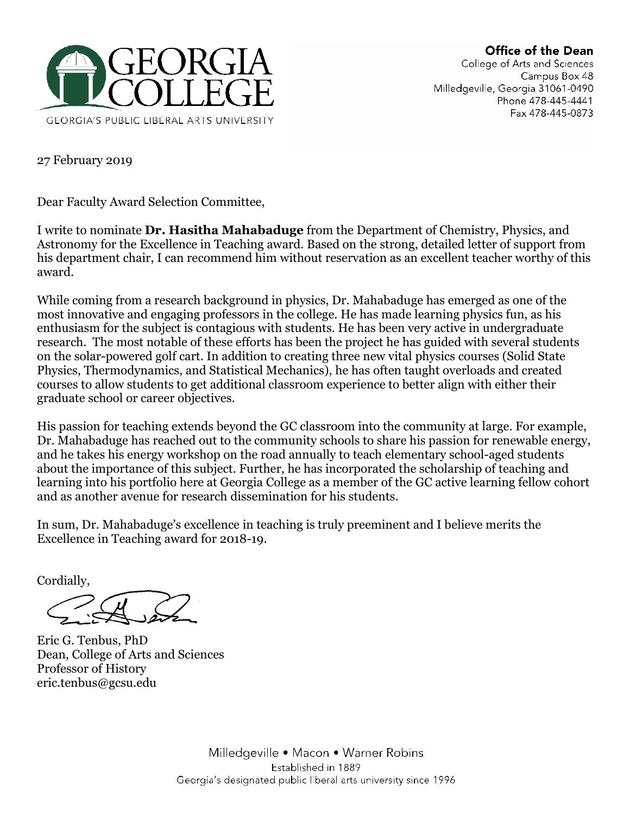# Office of the Dean





27 February 2019

Dear Faculty Award Selection Committee,

I write to nominate **Dr. Hasitha Mahabaduge** from the Department of Chemistry, Physics, and Astronomy for the Excellence in Teaching award. Based on the strong, detailed letter of support from his department chair, I can recommend him without reservation as an excellent teacher worthy of this award.

While coming from a research background in physics, Dr. Mahabaduge has emerged as one of the most innovative and engaging professors in the college. He has made learning physics fun, as his enthusiasm for the subject is contagious with students. He has been very active in undergraduate research. The most notable of these efforts has been the project he has guided with several students on the solar-powered golf cart. In addition to creating three new vital physics courses (Solid State Physics, Thermodynamics, and Statistical Mechanics), he has often taught overloads and created courses to allow students to get additional classroom experience to better align with either their graduate school or career objectives.

His passion for teaching extends beyond the GC classroom into the community at large. For example, Dr. Mahabaduge has reached out to the community schools to share his passion for renewable energy, and he takes his energy workshop on the road annually to teach elementary school-aged students about the importance of this subject. Further, he has incorporated the scholarship of teaching and learning into his portfolio here at Georgia College as a member of the GC active learning fellow cohort and as another avenue for research dissemination for his students.

In sum, Dr. Mahabaduge's excellence in teaching is truly preeminent and I believe merits the Excellence in Teaching award for 2018-19.

Cordially,

Eric G. Tenbus, PhD Dean, College of Arts and Sciences Professor of History eric.tenbus@gcsu.edu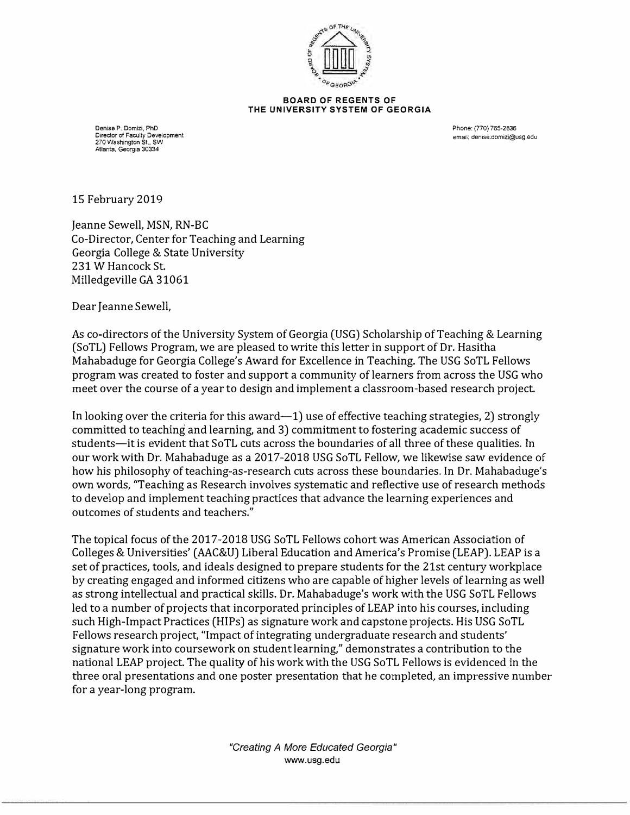

**BOARD OF REGENTS OF THE UNIVERSITY SYSTEM OF GEORGIA** 

Denise P. Domizi, PhD Director of Faculty Development 270 Washington St., SW Atlanta, Georgia 30334

Phone: (770) 765•2836 email: denise,domizi@usg.edu

15 February 2019

Jeanne Sewell, MSN, RN-BC Co-Director, Center for Teaching and Learning Georgia College & State University 231 W Hancock St. Milledgeville GA 31061

Dear Jeanne Sewell,

As co-directors of the University System of Georgia (USG) Scholarship of Teaching & Learning (So TL) Fellows Program, we are pleased to write this letter in support of Dr. Hasitha Mahabaduge for Georgia College's Award for Excellence in Teaching. The USG SoTL Fellows program was created to foster and support a community of learners from across the USG who meet over the course of a year to design and implement a classroom-based research project.

In looking over the criteria for this award—1) use of effective teaching strategies, 2) strongly committed to teaching and learning, and 3) commitment to fostering academic success of students-it is evident that SoTL cuts across the boundaries of all three of these qualities. In our work with Dr. Mahabaduge as a 2017-2018 USG SoTL Fellow, we likewise saw evidence of how his philosophy of teaching-as-research cuts across these boundaries. In Dr. Mahabaduge's own words, "Teaching as Research involves systematic and reflective use of research methods to develop and implement teaching practices that advance the learning experiences and outcomes of students and teachers."

The topical focus of the 2017-2018 USG SoTL Fellows cohort was American Association of Colleges & Universities' (AAC&U) Liberal Education and America's Promise (LEAP). LEAP is a set of practices, tools, and ideals designed to prepare students for the 21st century workplace by creating engaged and informed citizens who are capable of higher levels of learning as well as strong intellectual and practical skills. Dr. Mahabaduge's work with the USG SoTL Fellows led to a number of projects that incorporated principles of LEAP into his courses, including such High-Impact Practices (HIPs) as signature work and capstone projects. His USG SoTL Fellows research project, "Impact of integrating undergraduate research and students' signature work into coursework on student learning," demonstrates a contribution to the national LEAP project. The quality of his work with the USG SoTL Fellows is evidenced in the three oral presentations and one poster presentation that he completed, an impressive number for a year-long program.

> *"Creating A More Educated Georgia"*  www.usg.edu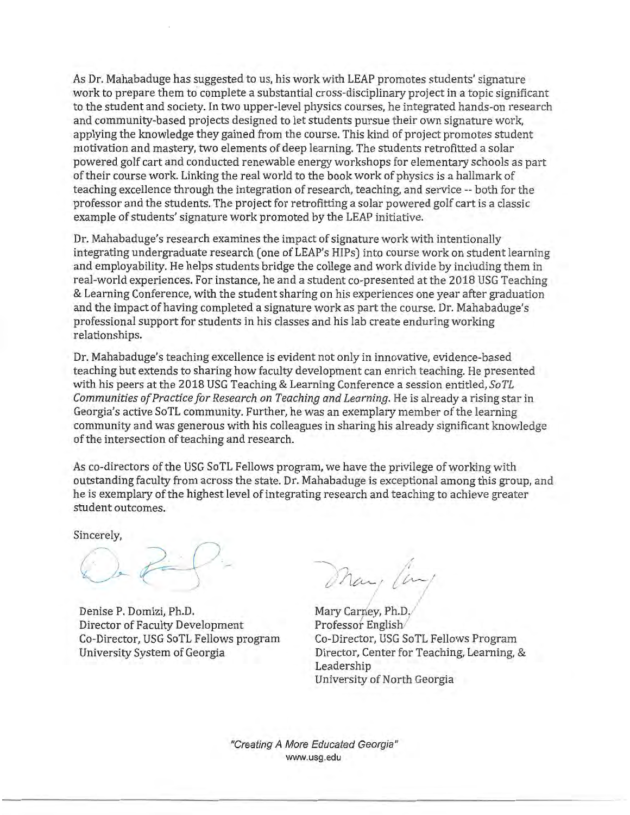As Dr. Mahabaduge has suggested to us, his work with LEAP promotes students' signature work to prepare them to complete a substantial cross-disciplinary project in a topic significant to the student and society. In two upper-level physics courses, he integrated hands-on research and community-based projects designed to let students pursue their own signature work, applying the knowledge they gained from the course. This kind of project promotes student motivation and mastery, two elements of deep learning. The students retrofitted a solar powered golf cart and conducted renewable energy workshops for elementary schools as part of their course work. Linking the real world to the book work of physics is a hallmark of teaching excellence through the integration of research, teaching, and service -- both for the professor and the students. The project for retrofitting a solar powered golf cart is a classic example of students' signature work promoted by the LEAP initiative.

Dr. Mahabaduge's research examines the impact of signature work with intentionally integrating undergraduate research (one of LEAP's HIPs) into course work on student learning and employability. He helps students bridge the college and work divide by including them in real-world experiences. For instance, he and a student co-presented at the 2018 USG Teaching & Learning Conference, with the student sharing on his experiences one year after graduation and the impact of having completed a signature work as part the course. Dr. Mahabaduge's professional support for students in his classes and his lab create enduring working relationships.

Dr. Mahabaduge's teaching excellence is evident not only in innovative, evidence-based teaching but extends to sharing how faculty development can enrich teaching. He presented with his peers at the 2018 USG Teaching & Learning Conference a session entitled, SoTL Communities of Practice for Research on Teaching and Learning. He is already a rising star in Georgia's active SoTL community. Further, he was an exemplary member of the learning community and was generous with his colleagues in sharing his already significant knowledge of the intersection of teaching and research.

As co-directors of the USG SoTL Fellows program, we have the privilege of working with outstanding faculty from across the state. Dr. Mahabaduge is exceptional among this group, and he is exemplary of the highest level of integrating research and teaching to achieve greater student outcomes.

Sincerely.

Denise P. Domizi, Ph.D. Director of Faculty Development Co-Director, USG SoTL Fellows program University System of Georgia

Mar, (in

Mary Carney, Ph.D. Professor English Co-Director, USG SoTL Fellows Program Director, Center for Teaching, Learning, & Leadership University of North Georgia

"Creating A More Educated Georgia" www.usg.edu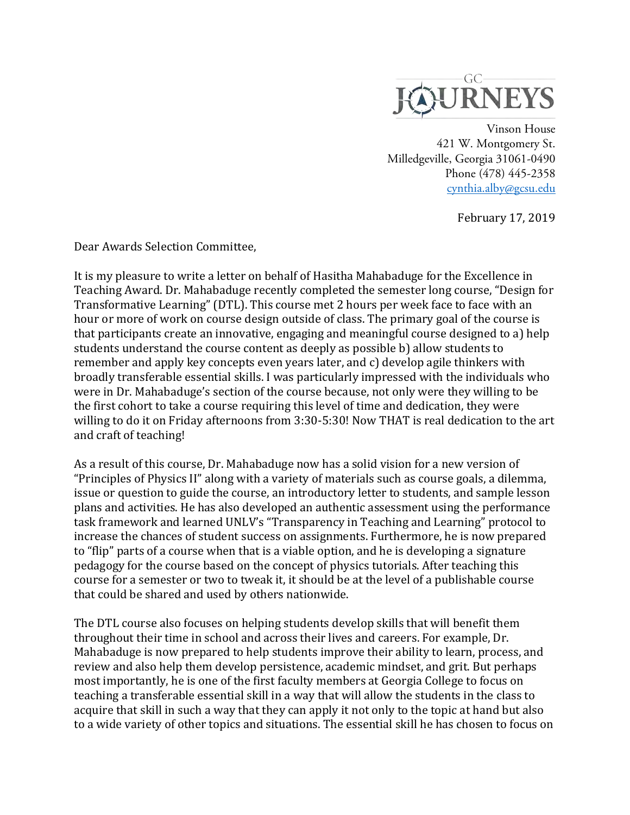

 Vinson House 421 W. Montgomery St. Milledgeville, Georgia 31061-0490 Phone (478) 445-2358 cynthia.alby@gcsu.edu

February 17, 2019

Dear Awards Selection Committee,

It is my pleasure to write a letter on behalf of Hasitha Mahabaduge for the Excellence in Teaching Award. Dr. Mahabaduge recently completed the semester long course, "Design for Transformative Learning" (DTL). This course met 2 hours per week face to face with an hour or more of work on course design outside of class. The primary goal of the course is that participants create an innovative, engaging and meaningful course designed to a) help students understand the course content as deeply as possible b) allow students to remember and apply key concepts even years later, and c) develop agile thinkers with broadly transferable essential skills. I was particularly impressed with the individuals who were in Dr. Mahabaduge's section of the course because, not only were they willing to be the first cohort to take a course requiring this level of time and dedication, they were willing to do it on Friday afternoons from 3:30-5:30! Now THAT is real dedication to the art and craft of teaching!

As a result of this course, Dr. Mahabaduge now has a solid vision for a new version of "Principles of Physics II" along with a variety of materials such as course goals, a dilemma, issue or question to guide the course, an introductory letter to students, and sample lesson plans and activities. He has also developed an authentic assessment using the performance task framework and learned UNLV's "Transparency in Teaching and Learning" protocol to increase the chances of student success on assignments. Furthermore, he is now prepared to "flip" parts of a course when that is a viable option, and he is developing a signature pedagogy for the course based on the concept of physics tutorials. After teaching this course for a semester or two to tweak it, it should be at the level of a publishable course that could be shared and used by others nationwide.

The DTL course also focuses on helping students develop skills that will benefit them throughout their time in school and across their lives and careers. For example, Dr. Mahabaduge is now prepared to help students improve their ability to learn, process, and review and also help them develop persistence, academic mindset, and grit. But perhaps most importantly, he is one of the first faculty members at Georgia College to focus on teaching a transferable essential skill in a way that will allow the students in the class to acquire that skill in such a way that they can apply it not only to the topic at hand but also to a wide variety of other topics and situations. The essential skill he has chosen to focus on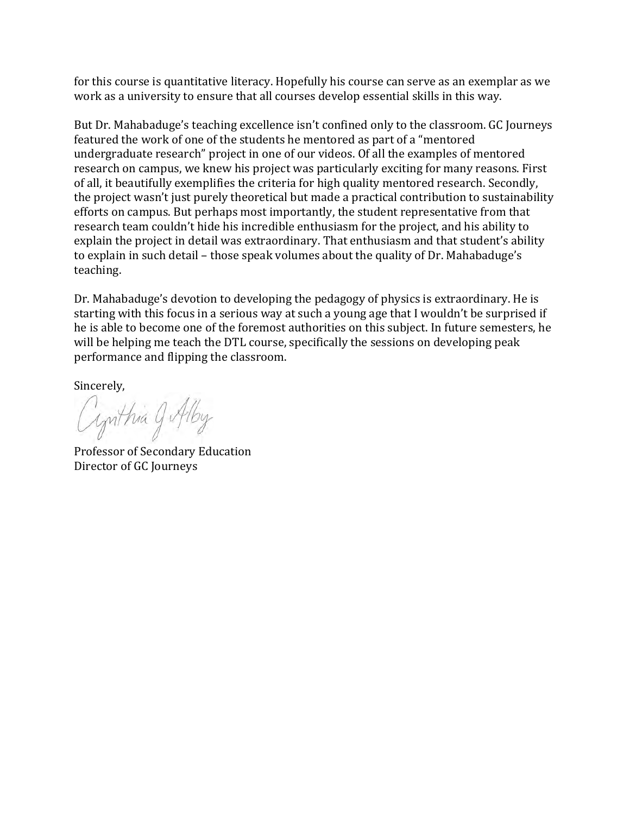for this course is quantitative literacy. Hopefully his course can serve as an exemplar as we work as a university to ensure that all courses develop essential skills in this way.

But Dr. Mahabaduge's teaching excellence isn't confined only to the classroom. GC Journeys featured the work of one of the students he mentored as part of a "mentored undergraduate research" project in one of our videos. Of all the examples of mentored research on campus, we knew his project was particularly exciting for many reasons. First of all, it beautifully exemplifies the criteria for high quality mentored research. Secondly, the project wasn't just purely theoretical but made a practical contribution to sustainability efforts on campus. But perhaps most importantly, the student representative from that research team couldn't hide his incredible enthusiasm for the project, and his ability to explain the project in detail was extraordinary. That enthusiasm and that student's ability to explain in such detail – those speak volumes about the quality of Dr. Mahabaduge's teaching. 

Dr. Mahabaduge's devotion to developing the pedagogy of physics is extraordinary. He is starting with this focus in a serious way at such a young age that I wouldn't be surprised if he is able to become one of the foremost authorities on this subject. In future semesters, he will be helping me teach the DTL course, specifically the sessions on developing peak performance and flipping the classroom.

Sincerely,

Cynthia 9 Alby

Professor of Secondary Education Director of GC Journeys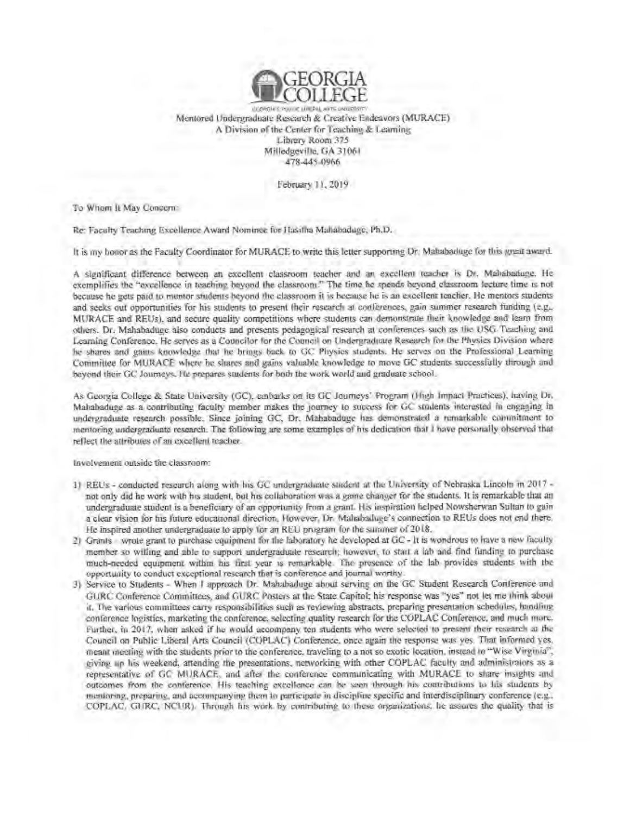

Mentored Undergraduate Research & Creative Endeavors (MURACE) A Division of the Center for Teaching & Learning Library Room 375 Milledgeville, GA 31061 478-445-0966

February 11, 2019

To Whom It May Concern:

Re: Faculty Teaching Excellence Award Nominee for Hasilha Mahabaduge, Ph.D.

It is my honor as the Faculty Coordinator for MURACE to write this letter supporting Dr. Mahabaduge for this great award.

A significant difference between an excellent classroom teacher and an excellent teacher is Dr. Mahabaduge. He exemplifies the "excellence in teaching beyond the classroom." The time he spends beyond classroom lecture time is not because he gets paid to mentor students beyond the classroom it is because he is an excellent teacher. He mentors students and seeks out opportunities for his students to present their research at conferences, gain summer research funding (e.g., MURACE and REUs), and secure quality competitions where students can demonstrate their knowledge and learn from others. Dr. Mahabaduge also conducts and presents pedagogical research at conferences such as the USG Teaching and Learning Conference. He serves as a Councilor for the Council on Undergraduate Research for the Physics Division where he shares and gains knowledge that he brings back to GC Physics students. He serves on the Professional Learning Committee for MURACE where he shares and gains valuable knowledge to move GC students successfully through and beyond their GC Journeys. He prepares students for both the work world and graduate school.

As Georgia College & State University (GC), embarks on its GC Journeys' Program (High Impact Practices), having Dr, Mahabaduge as a contributing faculty member makes the journey to success for GC students interested in engaging in undergraduate research possible. Since joining GC, Dr. Mahabaduge has demonstrated a remarkable commitment to mentoring undergraduate research. The following are some examples of his dedication that I have personally observed that reflect the attributes of an excellent teacher.

Involvement outside the classroom:

- 1) REUs conducted research along with his GC undergraduate student at the University of Nebraska Lincoln in 2017 not only did he work with his student, but his collaboration was a game changer for the students. It is remarkable that an undergraduate student is a beneficiary of an opportunity from a grant. His inspiration helped Nowsherwan Sultan to gain a clear vision for his future educational direction. However, Dr. Mahabaduge's connection to REUs does not end there. He inspired another undergraduate to apply for an REU program for the summer of 2018.
- 2) Grants wrote grant to purchase compment for the laboratory he developed at GC It is wondrous to have a new faculty member so willing and able to support undergraduate research; however, to start a lab and find funding to purchase much-needed equipment within his first year is remarkable. The presence of the lab provides students with the opportunity to conduct exceptional research that is conference and journal worthy.
- 3) Service to Students When I approach Dr. Mahabaduge about serving on the GC Student Research Conference and GURC Conference Committees, and GURC Posters at the State Capitol; his response was "yes" not let me think about it. The various committees carry responsibilities such as reviewing abstracts, preparing presentation schedules, handling conference logistics, marketing the conference, selecting quality research for the COPLAC Conference, and much more. Further, in 2017, when asked if he would accompany ten students who were selected to present their research as the Council on Public Liberal Arts Council (COPLAC) Conference, once again the response was yes. That informed yes, meant meeting with the students prior to the conference, traveling to a not so exotic location, instead to "Wise Virginia", giving up his weekend, attending the presentations, networking with other COPLAC faculty and administrators as a representative of GC MURACE, and after the conference communicating with MURACE to share insights and outcomes from the conference. His teaching excellence can be seen through his contributions to his students by mentoring, preparing, and accompanying them to participate in discipline specific and interdisciplinary conference (e.g., COPLAC, GURC, NCUR). Through his work by contributing to these organizations, he assures the quality that is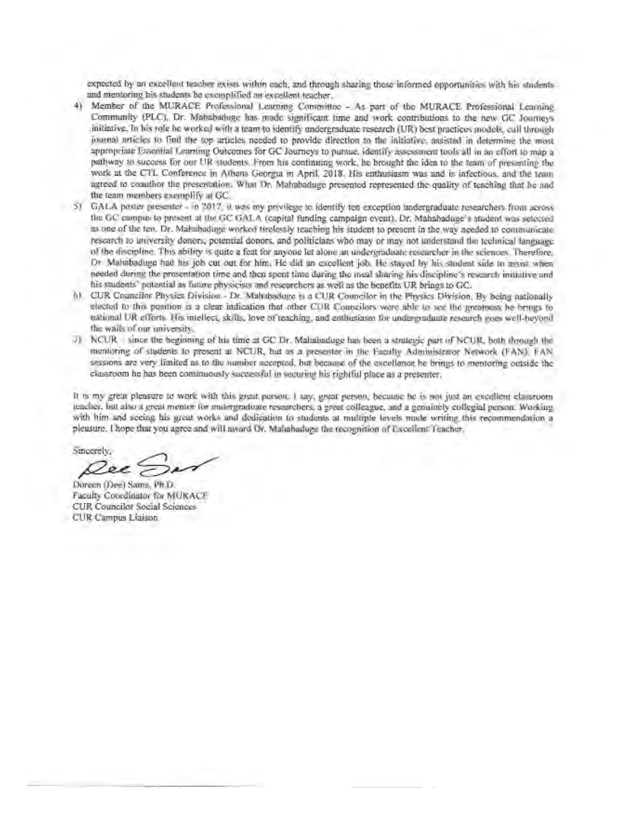expected by an excellent teacher exists within each, and through sharing these informed opportunities with his students. and mentoring his students be exemplified an excellent teacher.

- 4) Member of the MURACE Professional Learning Committee As part of the MURACE Professional Learning Community (PLC). Dr. Mahabatuge has made significant time and work contributions to the new GC Journeys initiative. In his role he worked with a team to identify undergraduate research (UR) best practices models, call through journal articles to find the top articles needed to provide direction to the initiative, assisted in determine the most appropriate Essential Learning Outcomes for GC Journeys to pursue, identify assessment tools all in an effort to map a pathway to success for our UR students. From his continuing work, he brought the idea to the team of presenting the work at the CTL Conference in Athens Georgia in April. 2018. His enthusiasm was and is infectious, and the team agreed to coauthor the presentation. What Dr. Mahabaduge presented represented the quality of teaching that he and the team members exemplify at GC.
- GALA poster presenter in 2017, it was my privilege to identify ten exception undergraduate researchers from across  $51$ the GC campus to present at the GC GALA (capital funding campaign event). Dr, Mahabaduge's student was selected as one of the ten. Dr. Mahabaduge worked tirelessly teaching his student to present in the way needed to communicate research to university donors, potential donors, and politicians who may or may not understand the technical language of the discipline. This ability is quite a feat for anyone let alone an undergraduate researcher in the sciences. Therefore, Dr. Mahabaduge had his job cut out for him. He did an excellent job. He stayed by his student side to assist when needed during the prosentation time and then spent time during the meal sharing his discipline's research initiative and his students' potential as future physicists and researchers as well as the benefits UR brings to GC.
- 61 CUR Councilor Physics Division Dr. Mahabaduge is a CUR Councilor in the Physics Division. By being nationally elected to this position is a clear indication that other CUR Councilors were able to see the greatness he brings to national UR efforts. His miellect, skills, love of teaching, and enthusiasm for undergraduate research goes well-beyond. the walls of our university.
- 7) NCUR since the beginning of his time at GC Dr. Mahabaduge has been a strategic part of NCUR, both through the mentoring of students to present at NCUR, but as a presenter in the Faculty Administrator Network (FAN). FAN sessions are very limited as to the number accepted, but because of the oxcellence he brings to mentoring outside the classroom he has been continuously successful in securing his rightful place as a presenter.

It is my great pleasure to work with this great person. I say, great person, because he is not just an excellent classroom teacher, but also a great mentor for midergraduate researchers, a great colleague, and a genuinely collegial person. Working with him and seeing his great works and dedication to students at multiple levels made writing this recommendation a pleasure. I hope that you agree and will award Dr. Mahabaduge the recognition of Excellent Teacher.

Sincerely. ee?

Doreen (Dee) Sams, Ph.D. Faculty Coordinator for MURACE CUR Councilor Social Sciences CUR Campus Liaison.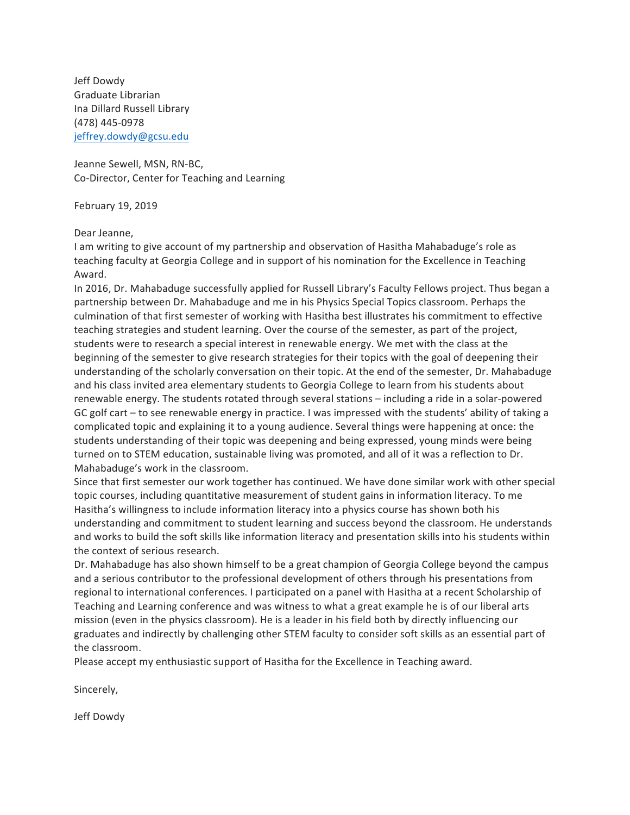Jeff Dowdy Graduate Librarian Ina Dillard Russell Library (478) 445-0978 jeffrey.dowdy@gcsu.edu

Jeanne Sewell, MSN, RN-BC, Co-Director, Center for Teaching and Learning

February 19, 2019 

Dear Jeanne,

I am writing to give account of my partnership and observation of Hasitha Mahabaduge's role as teaching faculty at Georgia College and in support of his nomination for the Excellence in Teaching Award. 

In 2016, Dr. Mahabaduge successfully applied for Russell Library's Faculty Fellows project. Thus began a partnership between Dr. Mahabaduge and me in his Physics Special Topics classroom. Perhaps the culmination of that first semester of working with Hasitha best illustrates his commitment to effective teaching strategies and student learning. Over the course of the semester, as part of the project, students were to research a special interest in renewable energy. We met with the class at the beginning of the semester to give research strategies for their topics with the goal of deepening their understanding of the scholarly conversation on their topic. At the end of the semester, Dr. Mahabaduge and his class invited area elementary students to Georgia College to learn from his students about renewable energy. The students rotated through several stations – including a ride in a solar-powered GC golf cart – to see renewable energy in practice. I was impressed with the students' ability of taking a complicated topic and explaining it to a young audience. Several things were happening at once: the students understanding of their topic was deepening and being expressed, young minds were being turned on to STEM education, sustainable living was promoted, and all of it was a reflection to Dr. Mahabaduge's work in the classroom.

Since that first semester our work together has continued. We have done similar work with other special topic courses, including quantitative measurement of student gains in information literacy. To me Hasitha's willingness to include information literacy into a physics course has shown both his understanding and commitment to student learning and success beyond the classroom. He understands and works to build the soft skills like information literacy and presentation skills into his students within the context of serious research.

Dr. Mahabaduge has also shown himself to be a great champion of Georgia College beyond the campus and a serious contributor to the professional development of others through his presentations from regional to international conferences. I participated on a panel with Hasitha at a recent Scholarship of Teaching and Learning conference and was witness to what a great example he is of our liberal arts mission (even in the physics classroom). He is a leader in his field both by directly influencing our graduates and indirectly by challenging other STEM faculty to consider soft skills as an essential part of the classroom.

Please accept my enthusiastic support of Hasitha for the Excellence in Teaching award.

Sincerely, 

Jeff Dowdy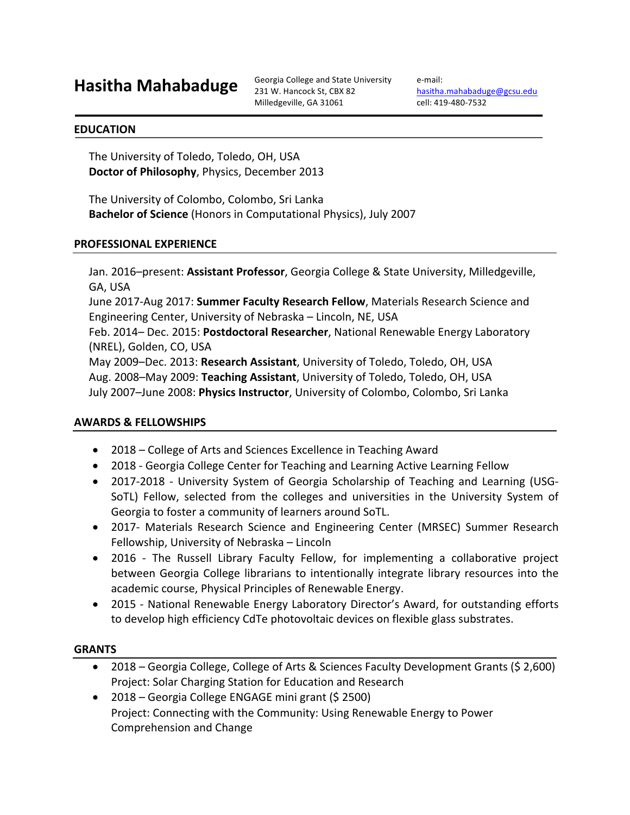231 W. Hancock St, CBX 82 Milledgeville, GA 31061

e-mail: hasitha.mahabaduge@gcsu.edu cell: 419-480-7532

#### **EDUCATION**

The University of Toledo, Toledo, OH, USA **Doctor of Philosophy**, Physics, December 2013

The University of Colombo, Colombo, Sri Lanka **Bachelor of Science** (Honors in Computational Physics), July 2007

#### **PROFESSIONAL EXPERIENCE**

Jan. 2016–present: Assistant Professor, Georgia College & State University, Milledgeville, GA, USA

June 2017-Aug 2017: **Summer Faculty Research Fellow**, Materials Research Science and Engineering Center, University of Nebraska - Lincoln, NE, USA

Feb. 2014– Dec. 2015: **Postdoctoral Researcher**, National Renewable Energy Laboratory (NREL), Golden, CO, USA

May 2009–Dec. 2013: Research Assistant, University of Toledo, Toledo, OH, USA Aug. 2008–May 2009: Teaching Assistant, University of Toledo, Toledo, OH, USA July 2007-June 2008: Physics Instructor, University of Colombo, Colombo, Sri Lanka

#### **AWARDS & FELLOWSHIPS**

- 2018 College of Arts and Sciences Excellence in Teaching Award
- 2018 Georgia College Center for Teaching and Learning Active Learning Fellow
- 2017-2018 University System of Georgia Scholarship of Teaching and Learning (USG-SoTL) Fellow, selected from the colleges and universities in the University System of Georgia to foster a community of learners around SoTL.
- 2017- Materials Research Science and Engineering Center (MRSEC) Summer Research Fellowship, University of Nebraska - Lincoln
- 2016 The Russell Library Faculty Fellow, for implementing a collaborative project between Georgia College librarians to intentionally integrate library resources into the academic course, Physical Principles of Renewable Energy.
- 2015 National Renewable Energy Laboratory Director's Award, for outstanding efforts to develop high efficiency CdTe photovoltaic devices on flexible glass substrates.

#### **GRANTS**

- 2018 Georgia College, College of Arts & Sciences Faculty Development Grants (\$ 2,600) Project: Solar Charging Station for Education and Research
- 2018 Georgia College ENGAGE mini grant  $(5 \ 2500)$ Project: Connecting with the Community: Using Renewable Energy to Power Comprehension and Change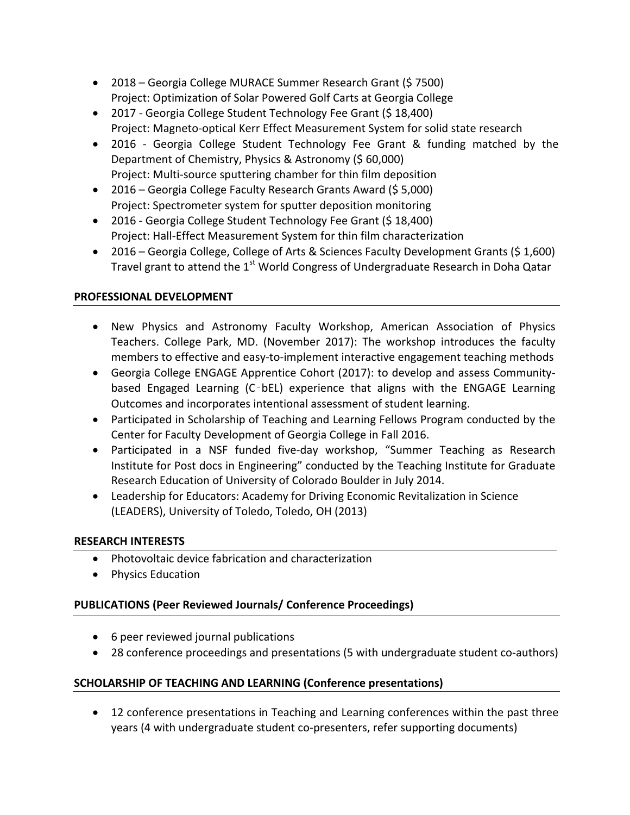- 2018 Georgia College MURACE Summer Research Grant (\$ 7500) Project: Optimization of Solar Powered Golf Carts at Georgia College
- 2017 Georgia College Student Technology Fee Grant (\$18,400) Project: Magneto-optical Kerr Effect Measurement System for solid state research
- 2016 Georgia College Student Technology Fee Grant & funding matched by the Department of Chemistry, Physics & Astronomy (\$60,000) Project: Multi-source sputtering chamber for thin film deposition
- 2016 Georgia College Faculty Research Grants Award (\$ 5,000) Project: Spectrometer system for sputter deposition monitoring
- 2016 Georgia College Student Technology Fee Grant (\$18,400) Project: Hall-Effect Measurement System for thin film characterization
- 2016 Georgia College, College of Arts & Sciences Faculty Development Grants (\$1,600) Travel grant to attend the  $1<sup>st</sup>$  World Congress of Undergraduate Research in Doha Qatar

# **PROFESSIONAL DEVELOPMENT**

- New Physics and Astronomy Faculty Workshop, American Association of Physics Teachers. College Park, MD. (November 2017): The workshop introduces the faculty members to effective and easy-to-implement interactive engagement teaching methods
- Georgia College ENGAGE Apprentice Cohort (2017): to develop and assess Communitybased Engaged Learning  $(C$ bEL) experience that aligns with the ENGAGE Learning Outcomes and incorporates intentional assessment of student learning.
- Participated in Scholarship of Teaching and Learning Fellows Program conducted by the Center for Faculty Development of Georgia College in Fall 2016.
- Participated in a NSF funded five-day workshop, "Summer Teaching as Research Institute for Post docs in Engineering" conducted by the Teaching Institute for Graduate Research Education of University of Colorado Boulder in July 2014.
- Leadership for Educators: Academy for Driving Economic Revitalization in Science (LEADERS), University of Toledo, Toledo, OH (2013)

# **RESEARCH INTERESTS**

- Photovoltaic device fabrication and characterization
- Physics Education

# **PUBLICATIONS (Peer Reviewed Journals/ Conference Proceedings)**

- 6 peer reviewed journal publications
- 28 conference proceedings and presentations (5 with undergraduate student co-authors)

# **SCHOLARSHIP OF TEACHING AND LEARNING (Conference presentations)**

• 12 conference presentations in Teaching and Learning conferences within the past three years (4 with undergraduate student co-presenters, refer supporting documents)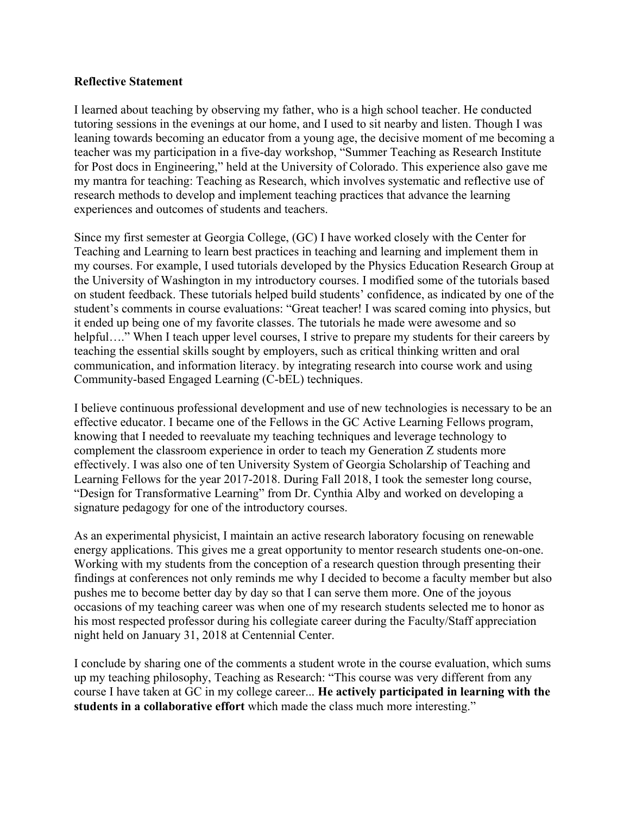#### **Reflective Statement**

I learned about teaching by observing my father, who is a high school teacher. He conducted tutoring sessions in the evenings at our home, and I used to sit nearby and listen. Though I was leaning towards becoming an educator from a young age, the decisive moment of me becoming a teacher was my participation in a five-day workshop, "Summer Teaching as Research Institute for Post docs in Engineering," held at the University of Colorado. This experience also gave me my mantra for teaching: Teaching as Research, which involves systematic and reflective use of research methods to develop and implement teaching practices that advance the learning experiences and outcomes of students and teachers.

Since my first semester at Georgia College, (GC) I have worked closely with the Center for Teaching and Learning to learn best practices in teaching and learning and implement them in my courses. For example, I used tutorials developed by the Physics Education Research Group at the University of Washington in my introductory courses. I modified some of the tutorials based on student feedback. These tutorials helped build students' confidence, as indicated by one of the student's comments in course evaluations: "Great teacher! I was scared coming into physics, but it ended up being one of my favorite classes. The tutorials he made were awesome and so helpful...." When I teach upper level courses, I strive to prepare my students for their careers by teaching the essential skills sought by employers, such as critical thinking written and oral communication, and information literacy. by integrating research into course work and using Community-based Engaged Learning (C-bEL) techniques.

I believe continuous professional development and use of new technologies is necessary to be an effective educator. I became one of the Fellows in the GC Active Learning Fellows program, knowing that I needed to reevaluate my teaching techniques and leverage technology to complement the classroom experience in order to teach my Generation Z students more effectively. I was also one of ten University System of Georgia Scholarship of Teaching and Learning Fellows for the year 2017-2018. During Fall 2018, I took the semester long course, "Design for Transformative Learning" from Dr. Cynthia Alby and worked on developing a signature pedagogy for one of the introductory courses.

As an experimental physicist, I maintain an active research laboratory focusing on renewable energy applications. This gives me a great opportunity to mentor research students one-on-one. Working with my students from the conception of a research question through presenting their findings at conferences not only reminds me why I decided to become a faculty member but also pushes me to become better day by day so that I can serve them more. One of the joyous occasions of my teaching career was when one of my research students selected me to honor as his most respected professor during his collegiate career during the Faculty/Staff appreciation night held on January 31, 2018 at Centennial Center.

I conclude by sharing one of the comments a student wrote in the course evaluation, which sums up my teaching philosophy, Teaching as Research: "This course was very different from any course I have taken at GC in my college career... **He actively participated in learning with the students in a collaborative effort** which made the class much more interesting."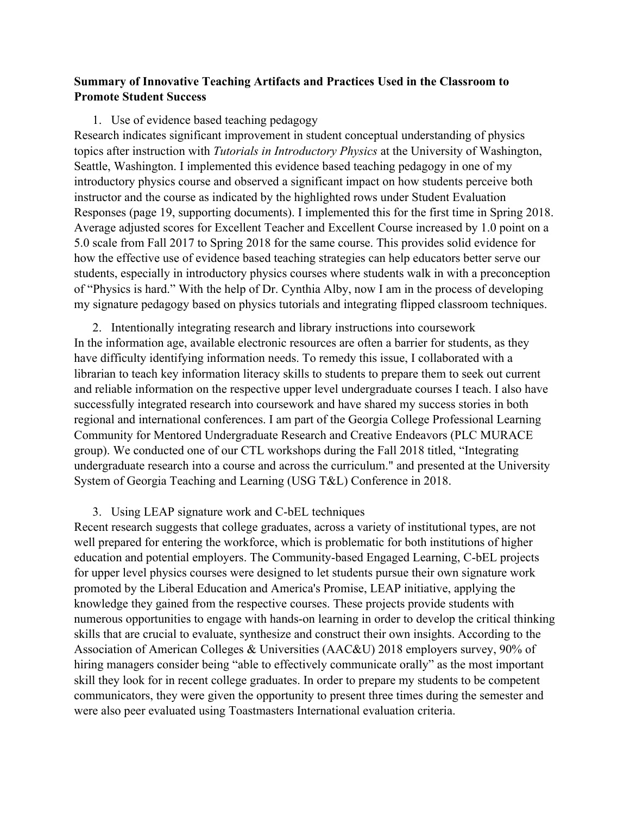# **Summary of Innovative Teaching Artifacts and Practices Used in the Classroom to Promote Student Success**

#### 1. Use of evidence based teaching pedagogy

Research indicates significant improvement in student conceptual understanding of physics topics after instruction with *Tutorials in Introductory Physics* at the University of Washington, Seattle, Washington. I implemented this evidence based teaching pedagogy in one of my introductory physics course and observed a significant impact on how students perceive both instructor and the course as indicated by the highlighted rows under Student Evaluation Responses (page 19, supporting documents). I implemented this for the first time in Spring 2018. Average adjusted scores for Excellent Teacher and Excellent Course increased by 1.0 point on a 5.0 scale from Fall 2017 to Spring 2018 for the same course. This provides solid evidence for how the effective use of evidence based teaching strategies can help educators better serve our students, especially in introductory physics courses where students walk in with a preconception of "Physics is hard." With the help of Dr. Cynthia Alby, now I am in the process of developing my signature pedagogy based on physics tutorials and integrating flipped classroom techniques.

2. Intentionally integrating research and library instructions into coursework In the information age, available electronic resources are often a barrier for students, as they have difficulty identifying information needs. To remedy this issue, I collaborated with a librarian to teach key information literacy skills to students to prepare them to seek out current and reliable information on the respective upper level undergraduate courses I teach. I also have successfully integrated research into coursework and have shared my success stories in both regional and international conferences. I am part of the Georgia College Professional Learning Community for Mentored Undergraduate Research and Creative Endeavors (PLC MURACE group). We conducted one of our CTL workshops during the Fall 2018 titled, "Integrating undergraduate research into a course and across the curriculum." and presented at the University System of Georgia Teaching and Learning (USG T&L) Conference in 2018.

#### 3. Using LEAP signature work and C-bEL techniques

Recent research suggests that college graduates, across a variety of institutional types, are not well prepared for entering the workforce, which is problematic for both institutions of higher education and potential employers. The Community-based Engaged Learning, C-bEL projects for upper level physics courses were designed to let students pursue their own signature work promoted by the Liberal Education and America's Promise, LEAP initiative, applying the knowledge they gained from the respective courses. These projects provide students with numerous opportunities to engage with hands-on learning in order to develop the critical thinking skills that are crucial to evaluate, synthesize and construct their own insights. According to the Association of American Colleges & Universities (AAC&U) 2018 employers survey, 90% of hiring managers consider being "able to effectively communicate orally" as the most important skill they look for in recent college graduates. In order to prepare my students to be competent communicators, they were given the opportunity to present three times during the semester and were also peer evaluated using Toastmasters International evaluation criteria.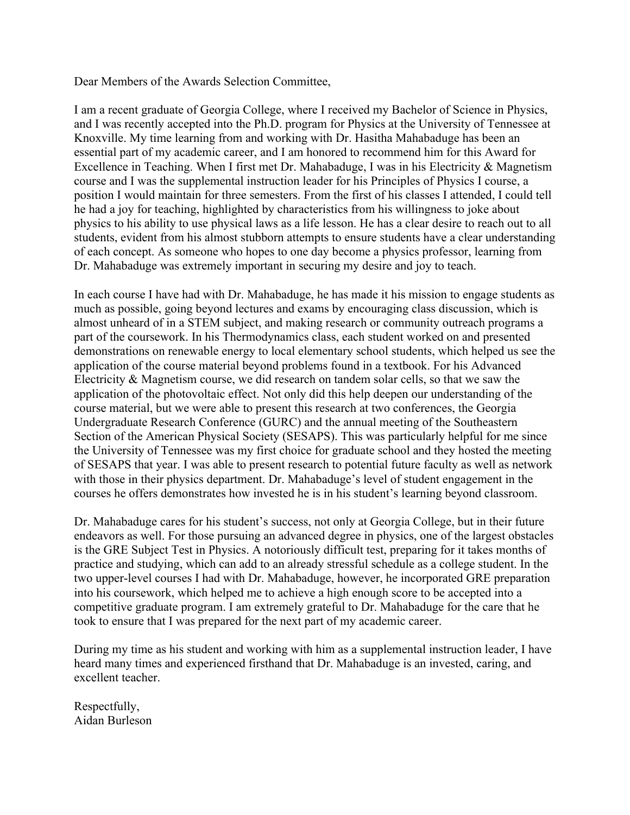Dear Members of the Awards Selection Committee,

I am a recent graduate of Georgia College, where I received my Bachelor of Science in Physics, and I was recently accepted into the Ph.D. program for Physics at the University of Tennessee at Knoxville. My time learning from and working with Dr. Hasitha Mahabaduge has been an essential part of my academic career, and I am honored to recommend him for this Award for Excellence in Teaching. When I first met Dr. Mahabaduge, I was in his Electricity & Magnetism course and I was the supplemental instruction leader for his Principles of Physics I course, a position I would maintain for three semesters. From the first of his classes I attended, I could tell he had a joy for teaching, highlighted by characteristics from his willingness to joke about physics to his ability to use physical laws as a life lesson. He has a clear desire to reach out to all students, evident from his almost stubborn attempts to ensure students have a clear understanding of each concept. As someone who hopes to one day become a physics professor, learning from Dr. Mahabaduge was extremely important in securing my desire and joy to teach.

In each course I have had with Dr. Mahabaduge, he has made it his mission to engage students as much as possible, going beyond lectures and exams by encouraging class discussion, which is almost unheard of in a STEM subject, and making research or community outreach programs a part of the coursework. In his Thermodynamics class, each student worked on and presented demonstrations on renewable energy to local elementary school students, which helped us see the application of the course material beyond problems found in a textbook. For his Advanced Electricity & Magnetism course, we did research on tandem solar cells, so that we saw the application of the photovoltaic effect. Not only did this help deepen our understanding of the course material, but we were able to present this research at two conferences, the Georgia Undergraduate Research Conference (GURC) and the annual meeting of the Southeastern Section of the American Physical Society (SESAPS). This was particularly helpful for me since the University of Tennessee was my first choice for graduate school and they hosted the meeting of SESAPS that year. I was able to present research to potential future faculty as well as network with those in their physics department. Dr. Mahabaduge's level of student engagement in the courses he offers demonstrates how invested he is in his student's learning beyond classroom.

Dr. Mahabaduge cares for his student's success, not only at Georgia College, but in their future endeavors as well. For those pursuing an advanced degree in physics, one of the largest obstacles is the GRE Subject Test in Physics. A notoriously difficult test, preparing for it takes months of practice and studying, which can add to an already stressful schedule as a college student. In the two upper-level courses I had with Dr. Mahabaduge, however, he incorporated GRE preparation into his coursework, which helped me to achieve a high enough score to be accepted into a competitive graduate program. I am extremely grateful to Dr. Mahabaduge for the care that he took to ensure that I was prepared for the next part of my academic career.

During my time as his student and working with him as a supplemental instruction leader, I have heard many times and experienced firsthand that Dr. Mahabaduge is an invested, caring, and excellent teacher.

Respectfully, Aidan Burleson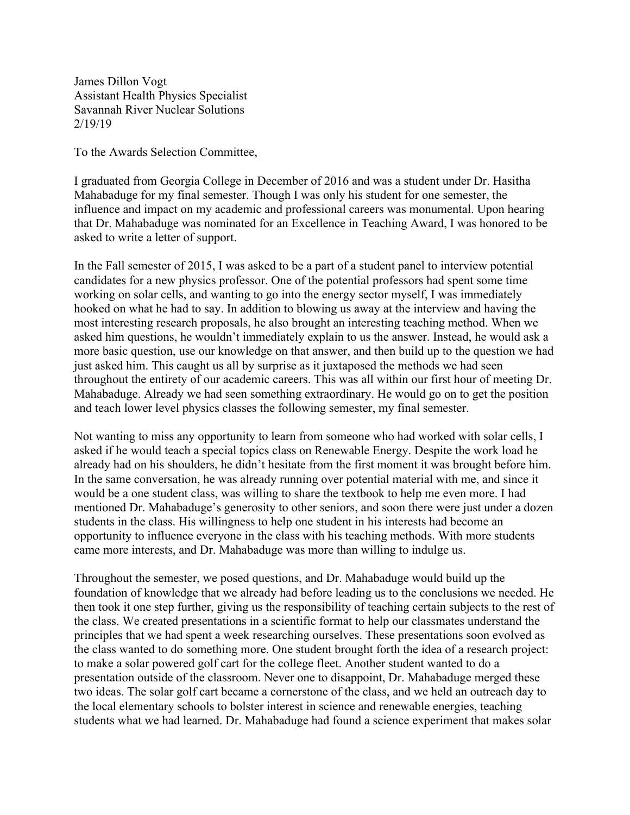James Dillon Vogt Assistant Health Physics Specialist Savannah River Nuclear Solutions 2/19/19

To the Awards Selection Committee,

I graduated from Georgia College in December of 2016 and was a student under Dr. Hasitha Mahabaduge for my final semester. Though I was only his student for one semester, the influence and impact on my academic and professional careers was monumental. Upon hearing that Dr. Mahabaduge was nominated for an Excellence in Teaching Award, I was honored to be asked to write a letter of support.

In the Fall semester of 2015, I was asked to be a part of a student panel to interview potential candidates for a new physics professor. One of the potential professors had spent some time working on solar cells, and wanting to go into the energy sector myself, I was immediately hooked on what he had to say. In addition to blowing us away at the interview and having the most interesting research proposals, he also brought an interesting teaching method. When we asked him questions, he wouldn't immediately explain to us the answer. Instead, he would ask a more basic question, use our knowledge on that answer, and then build up to the question we had just asked him. This caught us all by surprise as it juxtaposed the methods we had seen throughout the entirety of our academic careers. This was all within our first hour of meeting Dr. Mahabaduge. Already we had seen something extraordinary. He would go on to get the position and teach lower level physics classes the following semester, my final semester.

Not wanting to miss any opportunity to learn from someone who had worked with solar cells, I asked if he would teach a special topics class on Renewable Energy. Despite the work load he already had on his shoulders, he didn't hesitate from the first moment it was brought before him. In the same conversation, he was already running over potential material with me, and since it would be a one student class, was willing to share the textbook to help me even more. I had mentioned Dr. Mahabaduge's generosity to other seniors, and soon there were just under a dozen students in the class. His willingness to help one student in his interests had become an opportunity to influence everyone in the class with his teaching methods. With more students came more interests, and Dr. Mahabaduge was more than willing to indulge us.

Throughout the semester, we posed questions, and Dr. Mahabaduge would build up the foundation of knowledge that we already had before leading us to the conclusions we needed. He then took it one step further, giving us the responsibility of teaching certain subjects to the rest of the class. We created presentations in a scientific format to help our classmates understand the principles that we had spent a week researching ourselves. These presentations soon evolved as the class wanted to do something more. One student brought forth the idea of a research project: to make a solar powered golf cart for the college fleet. Another student wanted to do a presentation outside of the classroom. Never one to disappoint, Dr. Mahabaduge merged these two ideas. The solar golf cart became a cornerstone of the class, and we held an outreach day to the local elementary schools to bolster interest in science and renewable energies, teaching students what we had learned. Dr. Mahabaduge had found a science experiment that makes solar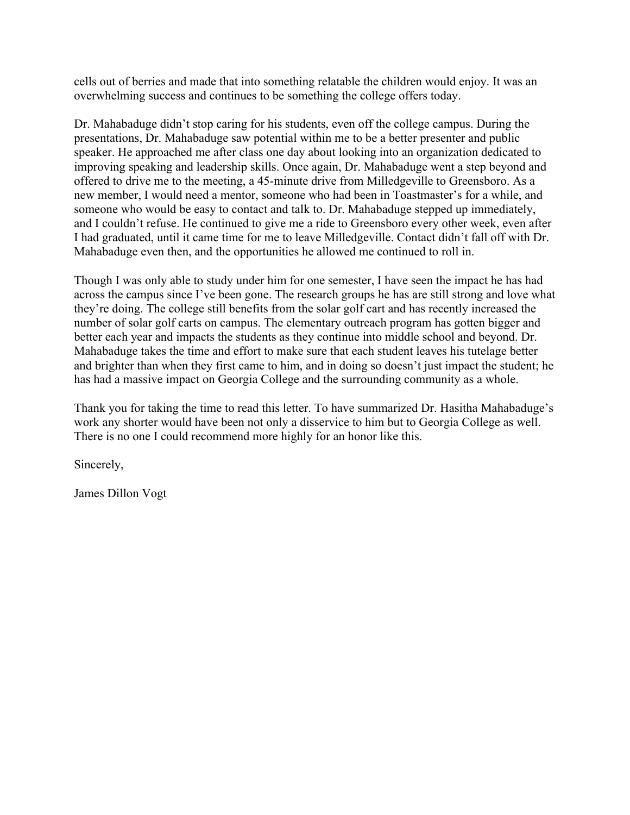cells out of berries and made that into something relatable the children would enjoy. It was an overwhelming success and continues to be something the college offers today.

Dr. Mahabaduge didn't stop caring for his students, even off the college campus. During the presentations, Dr. Mahabaduge saw potential within me to be a better presenter and public speaker. He approached me after class one day about looking into an organization dedicated to improving speaking and leadership skills. Once again, Dr. Mahabaduge went a step beyond and offered to drive me to the meeting, a 45-minute drive from Milledgeville to Greensboro. As a new member, I would need a mentor, someone who had been in Toastmaster's for a while, and someone who would be easy to contact and talk to. Dr. Mahabaduge stepped up immediately, and I couldn't refuse. He continued to give me a ride to Greensboro every other week, even after I had graduated, until it came time for me to leave Milledgeville. Contact didn't fall off with Dr. Mahabaduge even then, and the opportunities he allowed me continued to roll in.

Though I was only able to study under him for one semester, I have seen the impact he has had across the campus since I've been gone. The research groups he has are still strong and love what they're doing. The college still benefits from the solar golf cart and has recently increased the number of solar golf carts on campus. The elementary outreach program has gotten bigger and better each year and impacts the students as they continue into middle school and beyond. Dr. Mahabaduge takes the time and effort to make sure that each student leaves his tutelage better and brighter than when they first came to him, and in doing so doesn't just impact the student; he has had a massive impact on Georgia College and the surrounding community as a whole.

Thank you for taking the time to read this letter. To have summarized Dr. Hasitha Mahabaduge's work any shorter would have been not only a disservice to him but to Georgia College as well. There is no one I could recommend more highly for an honor like this.

Sincerely,

James Dillon Vogt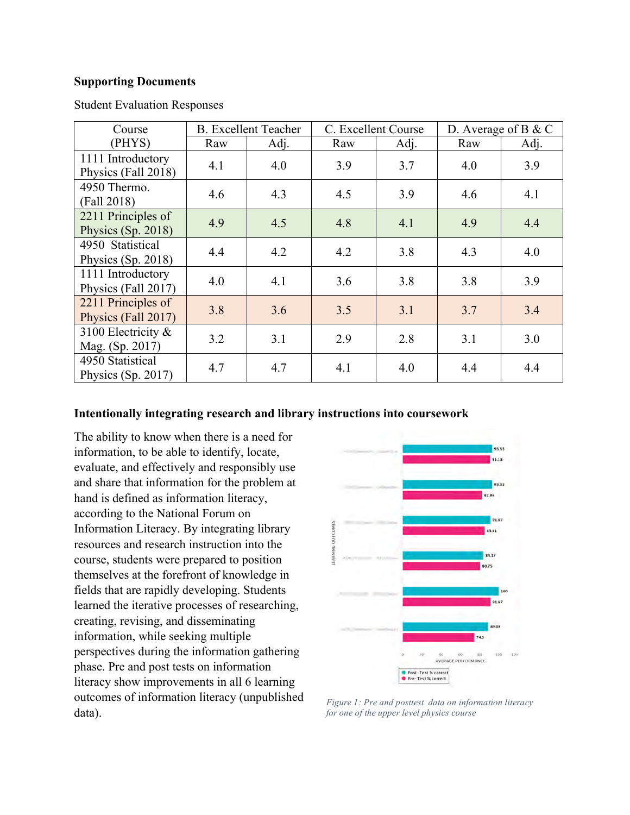#### **Supporting Documents**

| Course                                    | <b>B.</b> Excellent Teacher |      | C. Excellent Course |      | D. Average of B $&$ C |      |
|-------------------------------------------|-----------------------------|------|---------------------|------|-----------------------|------|
| (PHYS)                                    | Raw                         | Adj. | Raw                 | Adj. | Raw                   | Adj. |
| 1111 Introductory<br>Physics (Fall 2018)  | 4.1                         | 4.0  | 3.9                 | 3.7  | 4.0                   | 3.9  |
| 4950 Thermo.<br>(Fall 2018)               | 4.6                         | 4.3  | 4.5                 | 3.9  | 4.6                   | 4.1  |
| 2211 Principles of<br>Physics (Sp. 2018)  | 4.9                         | 4.5  | 4.8                 | 4.1  | 4.9                   | 4.4  |
| 4950 Statistical<br>Physics (Sp. 2018)    | 4.4                         | 4.2  | 4.2                 | 3.8  | 4.3                   | 4.0  |
| 1111 Introductory<br>Physics (Fall 2017)  | 4.0                         | 4.1  | 3.6                 | 3.8  | 3.8                   | 3.9  |
| 2211 Principles of<br>Physics (Fall 2017) | 3.8                         | 3.6  | 3.5                 | 3.1  | 3.7                   | 3.4  |
| 3100 Electricity &<br>Mag. (Sp. 2017)     | 3.2                         | 3.1  | 2.9                 | 2.8  | 3.1                   | 3.0  |
| 4950 Statistical<br>Physics $(Sp. 2017)$  | 4.7                         | 4.7  | 4.1                 | 4.0  | 4.4                   | 4.4  |

Student Evaluation Responses

### **Intentionally integrating research and library instructions into coursework**

The ability to know when there is a need for information, to be able to identify, locate, evaluate, and effectively and responsibly use and share that information for the problem at hand is defined as information literacy, according to the National Forum on Information Literacy. By integrating library resources and research instruction into the course, students were prepared to position themselves at the forefront of knowledge in fields that are rapidly developing. Students learned the iterative processes of researching, creating, revising, and disseminating information, while seeking multiple perspectives during the information gathering phase. Pre and post tests on information literacy show improvements in all 6 learning outcomes of information literacy (unpublished outcomes of information literacy (unpublished Figure 1: Pre and posttest data on information literacy data).



*for one of the upper level physics course*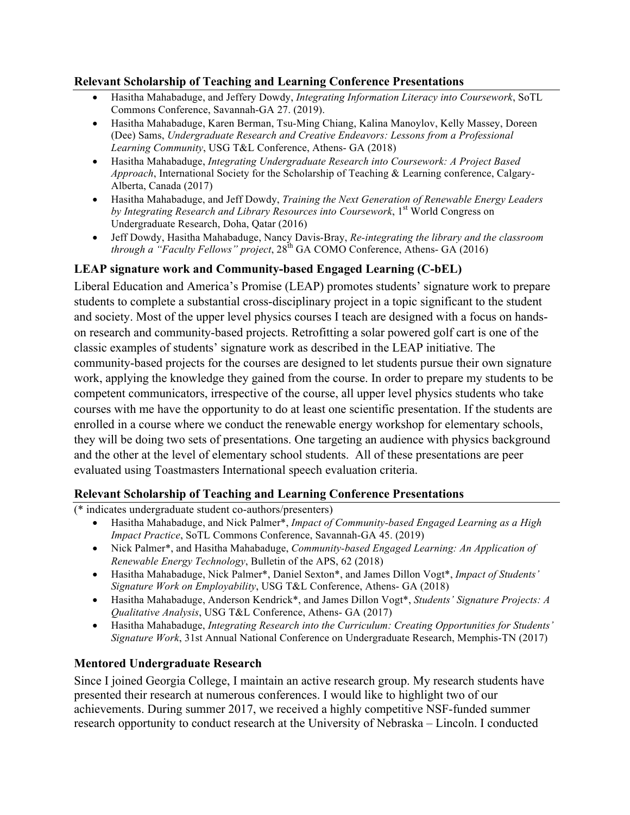### **Relevant Scholarship of Teaching and Learning Conference Presentations**

- Hasitha Mahabaduge, and Jeffery Dowdy, *Integrating Information Literacy into Coursework*, SoTL Commons Conference, Savannah-GA 27. (2019).
- Hasitha Mahabaduge, Karen Berman, Tsu-Ming Chiang, Kalina Manoylov, Kelly Massey, Doreen (Dee) Sams, *Undergraduate Research and Creative Endeavors: Lessons from a Professional Learning Community*, USG T&L Conference, Athens- GA (2018)
- Hasitha Mahabaduge, *Integrating Undergraduate Research into Coursework: A Project Based Approach*, International Society for the Scholarship of Teaching & Learning conference, Calgary-Alberta, Canada (2017)
- Hasitha Mahabaduge, and Jeff Dowdy, *Training the Next Generation of Renewable Energy Leaders*  by Integrating Research and Library Resources into Coursework, 1<sup>st</sup> World Congress on Undergraduate Research, Doha, Qatar (2016)
- Jeff Dowdy, Hasitha Mahabaduge, Nancy Davis-Bray, *Re-integrating the library and the classroom through a "Faculty Fellows" project*,  $28^{th}$  GA COMO Conference, Athens- GA (2016)

# **LEAP signature work and Community-based Engaged Learning (C-bEL)**

Liberal Education and America's Promise (LEAP) promotes students' signature work to prepare students to complete a substantial cross-disciplinary project in a topic significant to the student and society. Most of the upper level physics courses I teach are designed with a focus on handson research and community-based projects. Retrofitting a solar powered golf cart is one of the classic examples of students' signature work as described in the LEAP initiative. The community-based projects for the courses are designed to let students pursue their own signature work, applying the knowledge they gained from the course. In order to prepare my students to be competent communicators, irrespective of the course, all upper level physics students who take courses with me have the opportunity to do at least one scientific presentation. If the students are enrolled in a course where we conduct the renewable energy workshop for elementary schools, they will be doing two sets of presentations. One targeting an audience with physics background and the other at the level of elementary school students. All of these presentations are peer evaluated using Toastmasters International speech evaluation criteria.

# **Relevant Scholarship of Teaching and Learning Conference Presentations**

(\* indicates undergraduate student co-authors/presenters)

- Hasitha Mahabaduge, and Nick Palmer\*, *Impact of Community-based Engaged Learning as a High Impact Practice*, SoTL Commons Conference, Savannah-GA 45. (2019)
- Nick Palmer\*, and Hasitha Mahabaduge, *Community-based Engaged Learning: An Application of Renewable Energy Technology*, Bulletin of the APS, 62 (2018)
- Hasitha Mahabaduge, Nick Palmer\*, Daniel Sexton\*, and James Dillon Vogt\*, *Impact of Students' Signature Work on Employability*, USG T&L Conference, Athens- GA (2018)
- Hasitha Mahabaduge, Anderson Kendrick\*, and James Dillon Vogt\*, *Students' Signature Projects: A Qualitative Analysis*, USG T&L Conference, Athens- GA (2017)
- Hasitha Mahabaduge, *Integrating Research into the Curriculum: Creating Opportunities for Students' Signature Work*, 31st Annual National Conference on Undergraduate Research, Memphis-TN (2017)

# **Mentored Undergraduate Research**

Since I joined Georgia College, I maintain an active research group. My research students have presented their research at numerous conferences. I would like to highlight two of our achievements. During summer 2017, we received a highly competitive NSF-funded summer research opportunity to conduct research at the University of Nebraska – Lincoln. I conducted